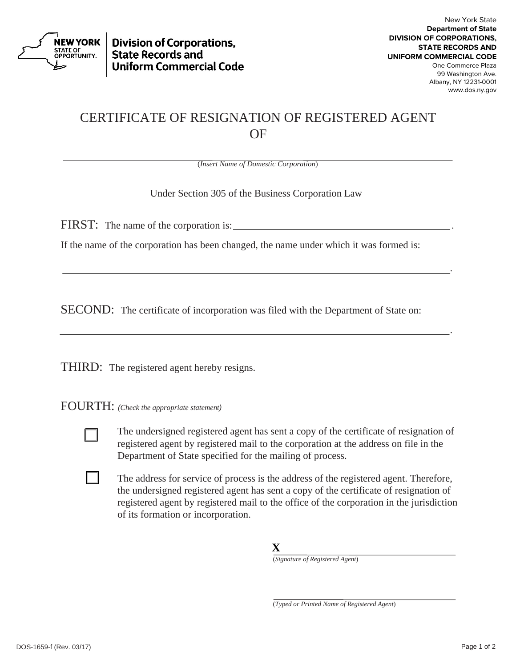

**Division of Corporations, State Records and Uniform Commercial Code** 

.

## CERTIFICATE OF RESIGNATION OF REGISTERED AGENT OF

(*Insert Name of Domestic Corporation*)

Under Section 305 of the Business Corporation Law

FIRST: The name of the corporation is:

If the name of the corporation has been changed, the name under which it was formed is:

SECOND: The certificate of incorporation was filed with the Department of State on:

<u>. Andre Stadtsburg i den stadt som stadt som stadt som stadt som stadt som stadt som stadt som s</u>

THIRD: The registered agent hereby resigns.

FOURTH: *(Check the appropriate statement)*



The undersigned registered agent has sent a copy of the certificate of resignation of registered agent by registered mail to the corporation at the address on file in the Department of State specified for the mailing of process.

The address for service of process is the address of the registered agent. Therefore, the undersigned registered agent has sent a copy of the certificate of resignation of registered agent by registered mail to the office of the corporation in the jurisdiction of its formation or incorporation.

**X** 

(*Signature of Registered Agent*)

(*Typed or Printed Name of Registered Agent*)